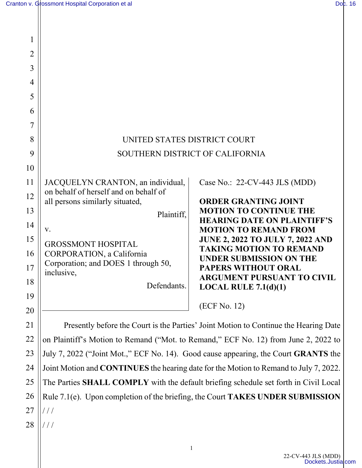| 1              |                                                                                       |                                                                           |
|----------------|---------------------------------------------------------------------------------------|---------------------------------------------------------------------------|
| $\overline{2}$ |                                                                                       |                                                                           |
| 3              |                                                                                       |                                                                           |
| 4              |                                                                                       |                                                                           |
| 5              |                                                                                       |                                                                           |
| 6              |                                                                                       |                                                                           |
| 7              |                                                                                       |                                                                           |
| 8              | UNITED STATES DISTRICT COURT                                                          |                                                                           |
| 9              | SOUTHERN DISTRICT OF CALIFORNIA                                                       |                                                                           |
| 10             |                                                                                       |                                                                           |
| 11             | JACQUELYN CRANTON, an individual,                                                     | Case No.: 22-CV-443 JLS (MDD)                                             |
| 12             | on behalf of herself and on behalf of<br>all persons similarly situated,              | <b>ORDER GRANTING JOINT</b>                                               |
| 13             | Plaintiff,                                                                            | <b>MOTION TO CONTINUE THE</b>                                             |
| 14             | V.                                                                                    | <b>HEARING DATE ON PLAINTIFF'S</b><br><b>MOTION TO REMAND FROM</b>        |
| 15             | <b>GROSSMONT HOSPITAL</b>                                                             | <b>JUNE 2, 2022 TO JULY 7, 2022 AND</b><br><b>TAKING MOTION TO REMAND</b> |
| 16             | <b>CORPORATION</b> , a California                                                     | <b>UNDER SUBMISSION ON THE</b>                                            |
| 17             | Corporation; and DOES 1 through 50,<br>inclusive,                                     | PAPERS WITHOUT ORAL                                                       |
| 18             | Defendants.                                                                           | <b>ARGUMENT PURSUANT TO CIVIL</b><br>LOCAL RULE $7.1(d)(1)$               |
| 19             |                                                                                       | (ECF No. 12)                                                              |
| 20             |                                                                                       |                                                                           |
| 21             | Presently before the Court is the Parties' Joint Motion to Continue the Hearing Date  |                                                                           |
| 22             | on Plaintiff's Motion to Remand ("Mot. to Remand," ECF No. 12) from June 2, 2022 to   |                                                                           |
| 23             | July 7, 2022 ("Joint Mot.," ECF No. 14). Good cause appearing, the Court GRANTS the   |                                                                           |
| 24             | Joint Motion and CONTINUES the hearing date for the Motion to Remand to July 7, 2022. |                                                                           |
| 25             | The Parties SHALL COMPLY with the default briefing schedule set forth in Civil Local  |                                                                           |
| 26             | Rule 7.1(e). Upon completion of the briefing, the Court TAKES UNDER SUBMISSION        |                                                                           |
| 27             | ///                                                                                   |                                                                           |
| 28             |                                                                                       |                                                                           |